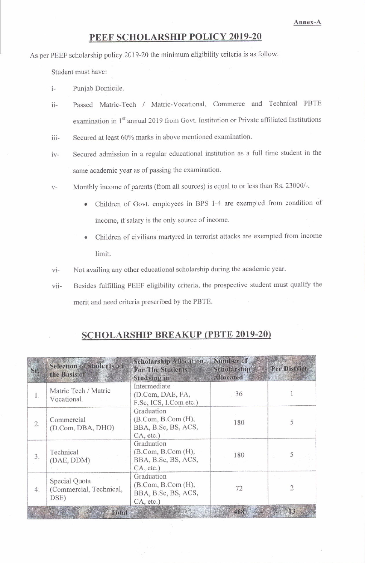## PEEF SCHOLARSHIP POLICY 2019-20

As per PEEF scholarship policy 2019-20 the minimum eligibility criteria is as follow:

Student must have:

 $i -$ Puniab Domicile.

- Passed Matric-Tech / Matric-Vocational, Commerce and Technical PBTE  $i$ <sub>i</sub> examination in 1<sup>st</sup> annual 2019 from Govt. Institution or Private affiliated Institutions
- Secured at least 60% marks in above mentioned examination. iii-
- Secured admission in a regular educational institution as a full time student in the  $iv$ same academic year as of passing the examination.
- Monthly income of parents (from all sources) is equal to or less than Rs. 23000/-.  $V -$ 
	- Children of Govt. employees in BPS 1-4 are exempted from condition of income, if salary is the only source of income.
	- Children of civilians martyred in terrorist attacks are exempted from income  $\bullet$ limit.
- Not availing any other educational scholarship during the academic year.  $\rm{vi}$ -
- Besides fulfilling PEEF eligibility criteria, the prospective student must qualify the viimerit and need criteria prescribed by the PBTE.

## **SCHOLARSHIP BREAKUP (PBTE 2019-20)**

| Sr. | <b>Selection of Students on</b><br>the Basis of  | Scholarship Allocation Number of<br><b>For The Students</b><br><b>Studving in</b> | Scholarship<br><b>Allocated</b> | <b>Per District</b> |
|-----|--------------------------------------------------|-----------------------------------------------------------------------------------|---------------------------------|---------------------|
| 1.  | Matric Tech / Matric<br>Vocational               | Intermediate<br>(D.Com, DAE, FA,<br>F.Sc, ICS, I.Com etc.)                        | 36                              |                     |
| 2.  | Commercial<br>(D.Com, DBA, DHO)                  | Graduation<br>(B. Com, B. Com (H),<br>BBA, B.Sc, BS, ACS,<br>CA, etc.)            | 180                             |                     |
| 3.  | Technical<br>(DAE, DDM)                          | Graduation<br>(B. Com, B. Com (H),<br>BBA, B.Sc, BS, ACS,<br>CA, etc.)            | 180                             |                     |
| 4.  | Special Quota<br>(Commercial, Technical,<br>DSE) | Graduation<br>(B. Com, B. Com (H),<br>BBA, B.Sc, BS, ACS,<br>CA, etc.)            | 72                              |                     |
|     | Total                                            |                                                                                   | 468                             | 13                  |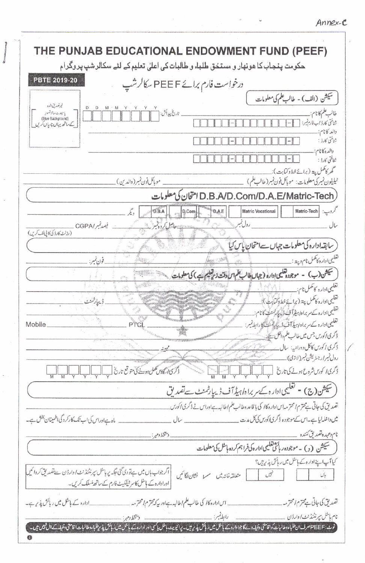| THE PUNJAB EDUCATIONAL ENDOWMENT FUND (PEEF)                                                                                                                                                                                                                                                                                                                                                                                                                                     |  |  |  |  |
|----------------------------------------------------------------------------------------------------------------------------------------------------------------------------------------------------------------------------------------------------------------------------------------------------------------------------------------------------------------------------------------------------------------------------------------------------------------------------------|--|--|--|--|
| حکومت پنجاب کا ھونھار و مستحٰق طلباء و طالبات کی اعلیٰ تعلیم کے لئے سکالر شپ پر وگرام                                                                                                                                                                                                                                                                                                                                                                                            |  |  |  |  |
| <b>PBTE 2019-20</b><br>درخواست فارم برائے PEE F سکالرشپ                                                                                                                                                                                                                                                                                                                                                                                                                          |  |  |  |  |
| سيكش (الف) - طالب علم كى معلومات                                                                                                                                                                                                                                                                                                                                                                                                                                                 |  |  |  |  |
| غرتعد بق شده<br>تاريخ پيدائش:<br>طالب علم كانام:<br>یاسپورٹ سائزتصوبر<br>(Blue Background)<br>شاختي كارڈ اب فارم بسر:<br>کے ساتھ یہاں چیاں کریں                                                                                                                                                                                                                                                                                                                                  |  |  |  |  |
| والد كأنام:<br>شاختي كارڈ :                                                                                                                                                                                                                                                                                                                                                                                                                                                      |  |  |  |  |
| والده كانام:<br>شاختي كارڈ :                                                                                                                                                                                                                                                                                                                                                                                                                                                     |  |  |  |  |
| گھر کامکمل پيټه (برائے خط وکتابت):<br>ٹیلیفون نمبر کی معلومات: موبائل فون نمبر (طالب علم)<br>_ موبائل فون نمبر (والدين)                                                                                                                                                                                                                                                                                                                                                          |  |  |  |  |
| امتحان کی معلومات D.B.A/D.Com/D.A.E/Matric-Tech                                                                                                                                                                                                                                                                                                                                                                                                                                  |  |  |  |  |
| کروپ:<br>D.B.A<br><b>Matric Vocational</b><br>Matric-Tech<br>D.A.E<br>D.Com                                                                                                                                                                                                                                                                                                                                                                                                      |  |  |  |  |
| رول تنمير<br>فيصدنمبر/CGPA<br>ساله<br>(رولاك كاروكى كافي لف كرين)                                                                                                                                                                                                                                                                                                                                                                                                                |  |  |  |  |
| سابقه اداره كى معلومات جہاں سے امتحان یاس کیا                                                                                                                                                                                                                                                                                                                                                                                                                                    |  |  |  |  |
| تغليمي اداره كانكمل نام وپيته .<br>قون تمير:                                                                                                                                                                                                                                                                                                                                                                                                                                     |  |  |  |  |
| سيشن (ب) - موجوده تعليمى إداره (جهال طالب علم الاوقت زير تعليم ب) كى معلومات                                                                                                                                                                                                                                                                                                                                                                                                     |  |  |  |  |
| تغلیمی اداره کا مکمل نام: <sub>-</sub>                                                                                                                                                                                                                                                                                                                                                                                                                                           |  |  |  |  |
| تعليمي اداره كامكمل پية ( پرائج خط وكتمات).<br>ڈیپارٹمنٹ                                                                                                                                                                                                                                                                                                                                                                                                                         |  |  |  |  |
| تعلیمی ادارہ کے سربراہ/ہیٹرآفٹ ڈاپکا شنگ کا نام:_                                                                                                                                                                                                                                                                                                                                                                                                                                |  |  |  |  |
| تغليمى اداره كے سر براہ اہلاً آف ڈيلي شنگ کا رابط نمبر : .<br>Mobile                                                                                                                                                                                                                                                                                                                                                                                                             |  |  |  |  |
| ڈ کری اکورس جس میں طالب علم داخل ہے۔<br>ڈ کری اکورس کا کل دورانیہ: سال میں استعمال کے اس کا کسی کے سیست کے استعمال کرنے کے ایک میں اس کے اس کے اس کے ا<br>رول نمبر ارجٹریشن نمبر (لازی):                                                                                                                                                                                                                                                                                         |  |  |  |  |
|                                                                                                                                                                                                                                                                                                                                                                                                                                                                                  |  |  |  |  |
| ذكرى الكوس على ويدفع كما موقع تاريخ بالسياس السياس                                                                                                                                                                                                                                                                                                                                                                                                                               |  |  |  |  |
| (سیشن(ج) - تعلیمی ادارہ کے سربراہ/ہیڈآف ڈیپارٹمنٹ سےتصدیق                                                                                                                                                                                                                                                                                                                                                                                                                        |  |  |  |  |
| تصدیق کی جاتی ہے محترم امحتر مداس ادارہ کال کی ہا قاعدہ طالب علم اطالبہ ہےاوراس نے ڈگری اکورس                                                                                                                                                                                                                                                                                                                                                                                    |  |  |  |  |
| يس داخله ليا ہے۔ اس سے موجودہ ذكرى اكورس كى كل مدت _______________________ سال ______<br>ماہ ہےاوراس کی اب تک کارکردگی اطمینان بخش ہے۔                                                                                                                                                                                                                                                                                                                                           |  |  |  |  |
| $\label{eq:1} \begin{array}{ll} \mathcal{V} & \mathcal{V} \end{array}$<br>And the result continuous constraints and the distribution of the<br>$\mathcal{V}$<br>سیکشن (د) - موجوده رباسی محصی اداره کی فراہم کرده باشل کی معلومات                                                                                                                                                                                                                                                |  |  |  |  |
| كيا آپ اپناداره سك باسل ميل رباش پذيرين؟                                                                                                                                                                                                                                                                                                                                                                                                                                         |  |  |  |  |
| اگر جواب ہاں میں ہےنو دی گئی جگہ پر ہاٹل پر نٹنڈ نٹ ا دارڈن سےنضد یق کروائیں<br>سسلم تشان لگائيں<br>$\frac{1}{2}$ $\frac{1}{2}$ $\frac{1}{2}$ $\frac{1}{2}$ $\frac{1}{2}$ $\frac{1}{2}$ $\frac{1}{2}$ $\frac{1}{2}$ $\frac{1}{2}$ $\frac{1}{2}$ $\frac{1}{2}$ $\frac{1}{2}$ $\frac{1}{2}$ $\frac{1}{2}$ $\frac{1}{2}$ $\frac{1}{2}$ $\frac{1}{2}$ $\frac{1}{2}$ $\frac{1}{2}$ $\frac{1}{2}$ $\frac{1}{2}$ $\frac{1}{2}$<br>اورادارہ کے ہاشل کا سر شیفکیٹ فارم کے ساتھ مسلک کریں۔ |  |  |  |  |
| تضدیق کی جاتی ہے محترم <i>ا</i> محترمہ.                                                                                                                                                                                                                                                                                                                                                                                                                                          |  |  |  |  |
|                                                                                                                                                                                                                                                                                                                                                                                                                                                                                  |  |  |  |  |
| نوٹ: PEEF صرف ان طلباءوطالبات کواقامتی دخلیفہ دے گا جوا دارہ کے ہائش پیڈ ریال نے پیش پاکس اور ادارہ کے ہائش پیر سلام اس ایم پیش کے الی جیس میں جی پیش کے ایک پیش میں ب                                                                                                                                                                                                                                                                                                           |  |  |  |  |